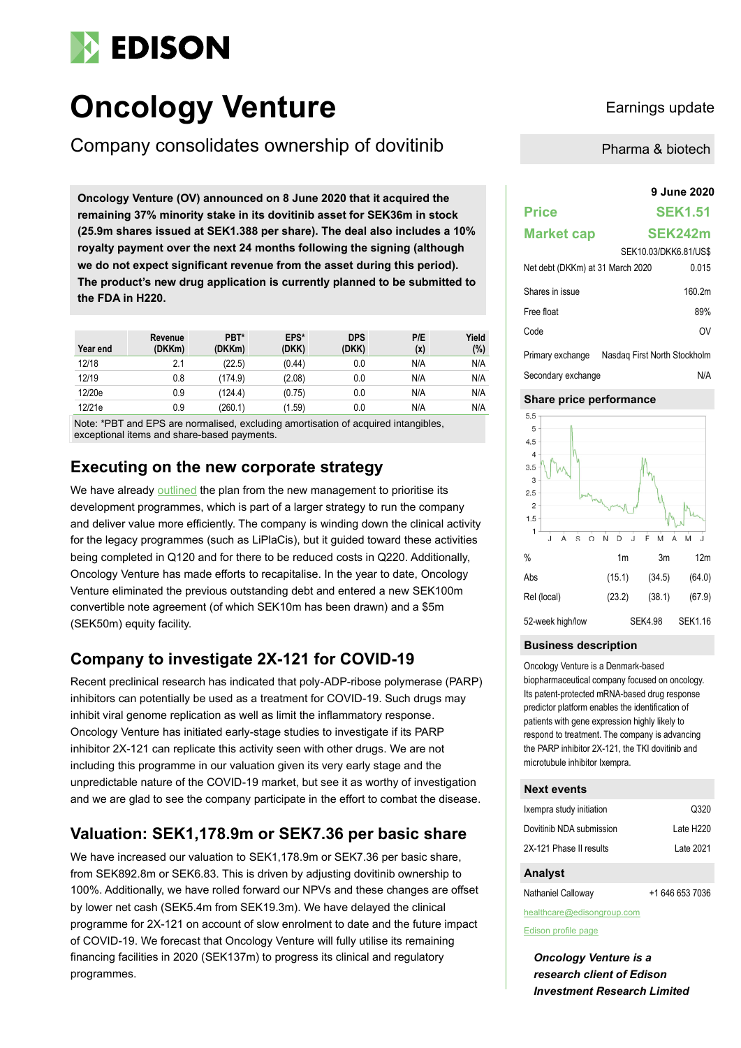# **EDISON**

# **Oncology Venture** Earnings update

Company consolidates ownership of dovitinib

**9 June 2020 Oncology Venture (OV) announced on 8 June 2020 that it acquired the remaining 37% minority stake in its dovitinib asset for SEK36m in stock (25.9m shares issued at SEK1.388 per share). The deal also includes a 10% royalty payment over the next 24 months following the signing (although we do not expect significant revenue from the asset during this period). The product's new drug application is currently planned to be submitted to the FDA in H220.**

| Year end | Revenue<br>(DKKm) | PBT*<br>(DKKm) | EPS*<br>(DKK) | <b>DPS</b><br>(DKK) | P/E<br>(x) | Yield<br>(%) |
|----------|-------------------|----------------|---------------|---------------------|------------|--------------|
| 12/18    | 2.1               | (22.5)         | (0.44)        | 0.0                 | N/A        | N/A          |
| 12/19    | 0.8               | (174.9)        | (2.08)        | 0.0                 | N/A        | N/A          |
| 12/20e   | 0.9               | (124.4)        | (0.75)        | 0.0                 | N/A        | N/A          |
| 12/21e   | 0.9               | (260.1)        | (1.59)        | 0.0                 | N/A        | N/A          |

Note: \*PBT and EPS are normalised, excluding amortisation of acquired intangibles, exceptional items and share-based payments.

## **Executing on the new corporate strategy**

We have already [outlined](https://www.edisongroup.com/publication/new-management-unveils-new-strategy/26589/) the plan from the new management to prioritise its development programmes, which is part of a larger strategy to run the company and deliver value more efficiently. The company is winding down the clinical activity for the legacy programmes (such as LiPlaCis), but it guided toward these activities being completed in Q120 and for there to be reduced costs in Q220. Additionally, Oncology Venture has made efforts to recapitalise. In the year to date, Oncology Venture eliminated the previous outstanding debt and entered a new SEK100m convertible note agreement (of which SEK10m has been drawn) and a \$5m (SEK50m) equity facility.

## **Company to investigate 2X-121 for COVID-19**

Recent preclinical research has indicated that poly-ADP-ribose polymerase (PARP) inhibitors can potentially be used as a treatment for COVID-19. Such drugs may inhibit viral genome replication as well as limit the inflammatory response. Oncology Venture has initiated early-stage studies to investigate if its PARP inhibitor 2X-121 can replicate this activity seen with other drugs. We are not including this programme in our valuation given its very early stage and the unpredictable nature of the COVID-19 market, but see it as worthy of investigation and we are glad to see the company participate in the effort to combat the disease.

## **Valuation: SEK1,178.9m or SEK7.36 per basic share**

We have increased our valuation to SEK1,178.9m or SEK7,36 per basic share. from SEK892.8m or SEK6.83. This is driven by adjusting dovitinib ownership to 100%. Additionally, we have rolled forward our NPVs and these changes are offset by lower net cash (SEK5.4m from SEK19.3m). We have delayed the clinical programme for 2X-121 on account of slow enrolment to date and the future impact of COVID-19. We forecast that Oncology Venture will fully utilise its remaining financing facilities in 2020 (SEK137m) to progress its clinical and regulatory programmes.

Pharma & biotech

## **Price SEK1.51 Market cap SEK242m** SEK10.03/DKK6.81/US\$ Net debt (DKKm) at 31 March 2020 0.015 Shares in issue 160.2m Free float 89% Code OV Primary exchange Nasdaq First North Stockholm

Secondary exchange N/A

### **Share price performance**



### **Business description**

Oncology Venture is a Denmark-based biopharmaceutical company focused on oncology. Its patent-protected mRNA-based drug response predictor platform enables the identification of patients with gene expression highly likely to respond to treatment. The company is advancing the PARP inhibitor 2X-121, the TKI dovitinib and microtubule inhibitor Ixempra.

### **Next events**

| Ixempra study initiation | O320                  |
|--------------------------|-----------------------|
| Dovitinib NDA submission | Late H <sub>220</sub> |
| 2X-121 Phase II results  | 1 ate 2021            |

## **Analyst**

Nathaniel Calloway +1 646 653 7036 healthcare@edisongroup.com

[Edison profile page](https://www.edisongroup.com/company/oncology-venture/2735)

*Oncology Venture is a research client of Edison Investment Research Limited*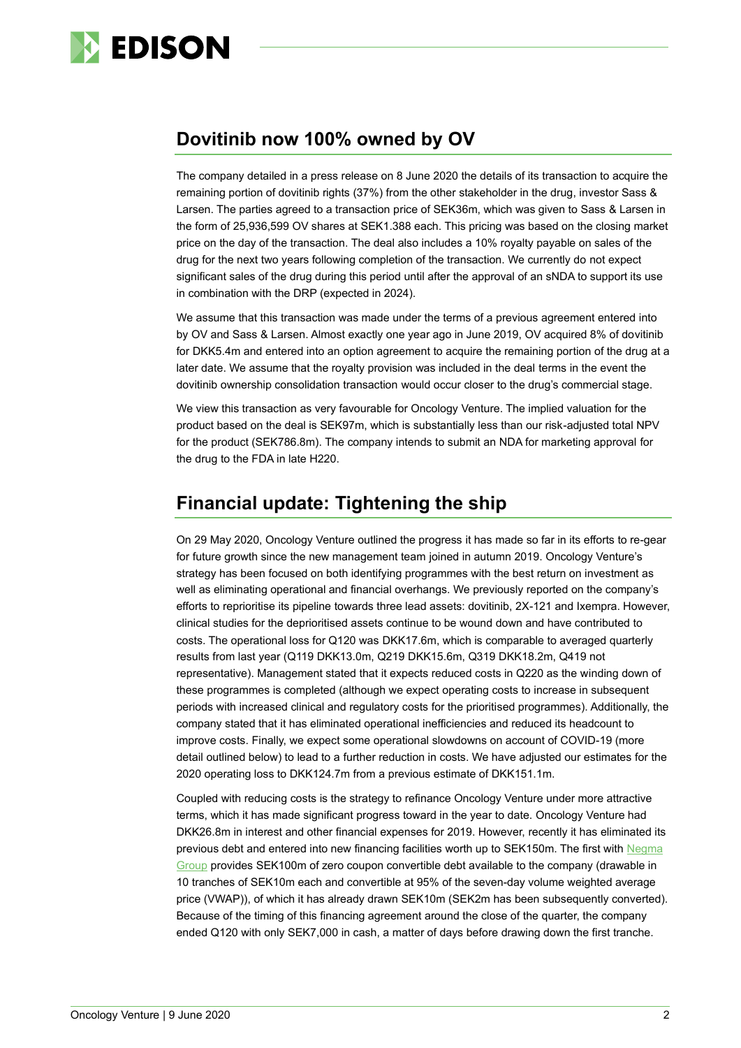

## **Dovitinib now 100% owned by OV**

The company detailed in a press release on 8 June 2020 the details of its transaction to acquire the remaining portion of dovitinib rights (37%) from the other stakeholder in the drug, investor Sass & Larsen. The parties agreed to a transaction price of SEK36m, which was given to Sass & Larsen in the form of 25,936,599 OV shares at SEK1.388 each. This pricing was based on the closing market price on the day of the transaction. The deal also includes a 10% royalty payable on sales of the drug for the next two years following completion of the transaction. We currently do not expect significant sales of the drug during this period until after the approval of an sNDA to support its use in combination with the DRP (expected in 2024).

We assume that this transaction was made under the terms of a previous agreement entered into by OV and Sass & Larsen. Almost exactly one year ago in June 2019, OV acquired 8% of dovitinib for DKK5.4m and entered into an option agreement to acquire the remaining portion of the drug at a later date. We assume that the royalty provision was included in the deal terms in the event the dovitinib ownership consolidation transaction would occur closer to the drug's commercial stage.

We view this transaction as very favourable for Oncology Venture. The implied valuation for the product based on the deal is SEK97m, which is substantially less than our risk-adjusted total NPV for the product (SEK786.8m). The company intends to submit an NDA for marketing approval for the drug to the FDA in late H220.

## **Financial update: Tightening the ship**

On 29 May 2020, Oncology Venture outlined the progress it has made so far in its efforts to re-gear for future growth since the new management team joined in autumn 2019. Oncology Venture's strategy has been focused on both identifying programmes with the best return on investment as well as eliminating operational and financial overhangs. We previously reported on the company's efforts to reprioritise its pipeline towards three lead assets: dovitinib, 2X-121 and Ixempra. However, clinical studies for the deprioritised assets continue to be wound down and have contributed to costs. The operational loss for Q120 was DKK17.6m, which is comparable to averaged quarterly results from last year (Q119 DKK13.0m, Q219 DKK15.6m, Q319 DKK18.2m, Q419 not representative). Management stated that it expects reduced costs in Q220 as the winding down of these programmes is completed (although we expect operating costs to increase in subsequent periods with increased clinical and regulatory costs for the prioritised programmes). Additionally, the company stated that it has eliminated operational inefficiencies and reduced its headcount to improve costs. Finally, we expect some operational slowdowns on account of COVID-19 (more detail outlined below) to lead to a further reduction in costs. We have adjusted our estimates for the 2020 operating loss to DKK124.7m from a previous estimate of DKK151.1m.

Coupled with reducing costs is the strategy to refinance Oncology Venture under more attractive terms, which it has made significant progress toward in the year to date. Oncology Venture had DKK26.8m in interest and other financial expenses for 2019. However, recently it has eliminated its previous debt and entered into new financing facilities worth up to SEK150m. The first with [Negma](https://oncologyventure.com/press-release/press-release-oncology-venture-is-issuing-925925-shares-under-its-convertible-note-agreement-with-negma-group-ltd-and-park-partners-gb-2/)  [Group](https://oncologyventure.com/press-release/press-release-oncology-venture-is-issuing-925925-shares-under-its-convertible-note-agreement-with-negma-group-ltd-and-park-partners-gb-2/) provides SEK100m of zero coupon convertible debt available to the company (drawable in 10 tranches of SEK10m each and convertible at 95% of the seven-day volume weighted average price (VWAP)), of which it has already drawn SEK10m (SEK2m has been subsequently converted). Because of the timing of this financing agreement around the close of the quarter, the company ended Q120 with only SEK7,000 in cash, a matter of days before drawing down the first tranche.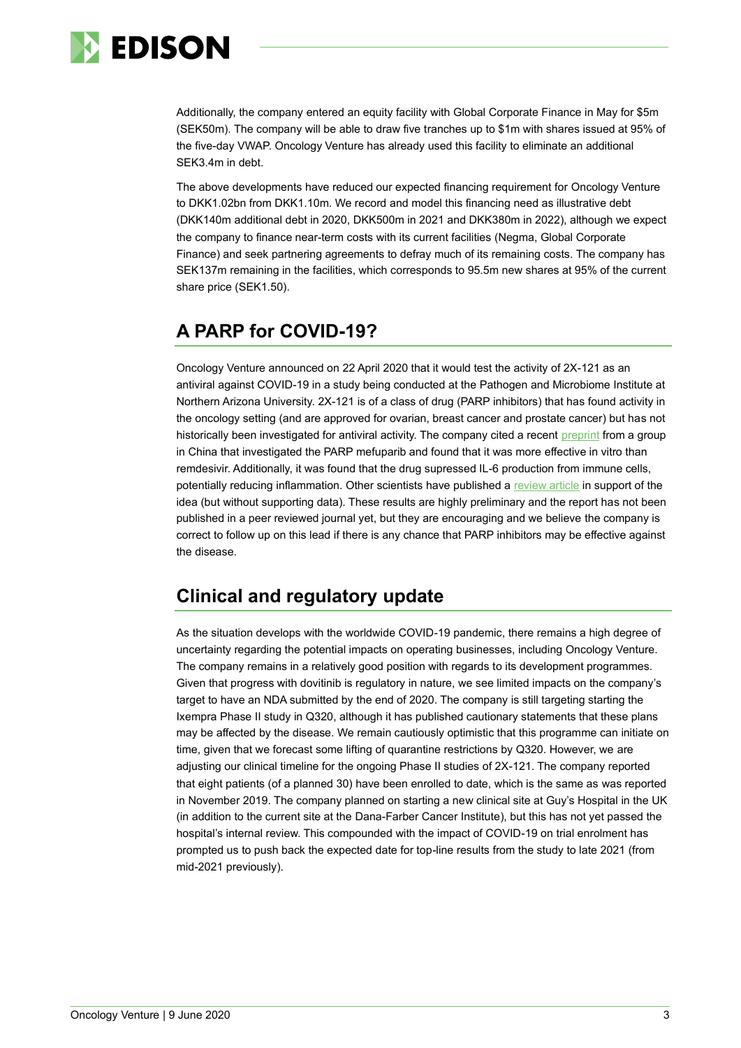

Additionally, the company entered an equity facility with Global Corporate Finance in May for \$5m (SEK50m). The company will be able to draw five tranches up to \$1m with shares issued at 95% of the five-day VWAP. Oncology Venture has already used this facility to eliminate an additional SEK3.4m in debt.

The above developments have reduced our expected financing requirement for Oncology Venture to DKK1.02bn from DKK1.10m. We record and model this financing need as illustrative debt (DKK140m additional debt in 2020, DKK500m in 2021 and DKK380m in 2022), although we expect the company to finance near-term costs with its current facilities (Negma, Global Corporate Finance) and seek partnering agreements to defray much of its remaining costs. The company has SEK137m remaining in the facilities, which corresponds to 95.5m new shares at 95% of the current share price (SEK1.50).

## **A PARP for COVID-19?**

Oncology Venture announced on 22 April 2020 that it would test the activity of 2X-121 as an antiviral against COVID-19 in a study being conducted at the Pathogen and Microbiome Institute at Northern Arizona University. 2X-121 is of a class of drug (PARP inhibitors) that has found activity in the oncology setting (and are approved for ovarian, breast cancer and prostate cancer) but has not historically been investigated for antiviral activity. The company cited a recent [preprint](https://www.biorxiv.org/content/10.1101/2020.03.11.986836v1) from a group in China that investigated the PARP mefuparib and found that it was more effective in vitro than remdesivir. Additionally, it was found that the drug supressed IL-6 production from immune cells, potentially reducing inflammation. Other scientists have published a [review article](https://bpspubs.onlinelibrary.wiley.com/doi/abs/10.1111/bph.15137) in support of the idea (but without supporting data). These results are highly preliminary and the report has not been published in a peer reviewed journal yet, but they are encouraging and we believe the company is correct to follow up on this lead if there is any chance that PARP inhibitors may be effective against the disease.

## **Clinical and regulatory update**

As the situation develops with the worldwide COVID-19 pandemic, there remains a high degree of uncertainty regarding the potential impacts on operating businesses, including Oncology Venture. The company remains in a relatively good position with regards to its development programmes. Given that progress with dovitinib is regulatory in nature, we see limited impacts on the company's target to have an NDA submitted by the end of 2020. The company is still targeting starting the Ixempra Phase II study in Q320, although it has published cautionary statements that these plans may be affected by the disease. We remain cautiously optimistic that this programme can initiate on time, given that we forecast some lifting of quarantine restrictions by Q320. However, we are adjusting our clinical timeline for the ongoing Phase II studies of 2X-121. The company reported that eight patients (of a planned 30) have been enrolled to date, which is the same as was reported in November 2019. The company planned on starting a new clinical site at Guy's Hospital in the UK (in addition to the current site at the Dana-Farber Cancer Institute), but this has not yet passed the hospital's internal review. This compounded with the impact of COVID-19 on trial enrolment has prompted us to push back the expected date for top-line results from the study to late 2021 (from mid-2021 previously).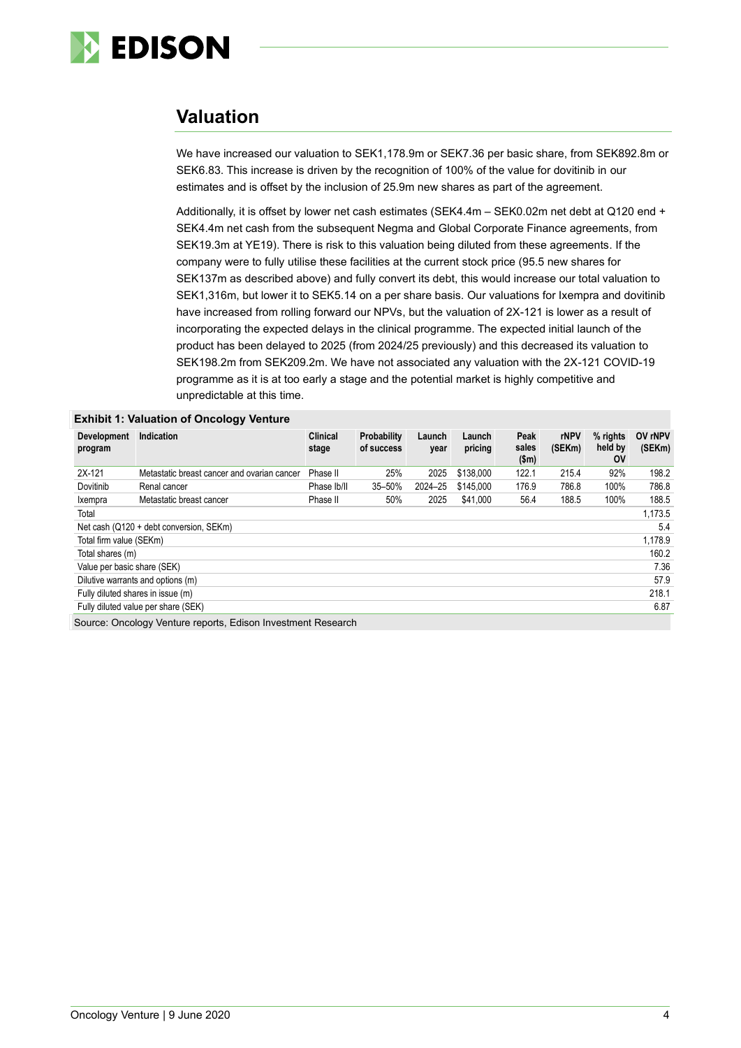

## **Valuation**

We have increased our valuation to SEK1,178.9m or SEK7.36 per basic share, from SEK892.8m or SEK6.83. This increase is driven by the recognition of 100% of the value for dovitinib in our estimates and is offset by the inclusion of 25.9m new shares as part of the agreement.

Additionally, it is offset by lower net cash estimates (SEK4.4m – SEK0.02m net debt at Q120 end + SEK4.4m net cash from the subsequent Negma and Global Corporate Finance agreements, from SEK19.3m at YE19). There is risk to this valuation being diluted from these agreements. If the company were to fully utilise these facilities at the current stock price (95.5 new shares for SEK137m as described above) and fully convert its debt, this would increase our total valuation to SEK1,316m, but lower it to SEK5.14 on a per share basis. Our valuations for Ixempra and dovitinib have increased from rolling forward our NPVs, but the valuation of 2X-121 is lower as a result of incorporating the expected delays in the clinical programme. The expected initial launch of the product has been delayed to 2025 (from 2024/25 previously) and this decreased its valuation to SEK198.2m from SEK209.2m. We have not associated any valuation with the 2X-121 COVID-19 programme as it is at too early a stage and the potential market is highly competitive and unpredictable at this time.

#### **Exhibit 1: Valuation of Oncology Venture**

|                                         | . .                                         |                   |                                  |                |                   |                        |                       |                                    |                   |
|-----------------------------------------|---------------------------------------------|-------------------|----------------------------------|----------------|-------------------|------------------------|-----------------------|------------------------------------|-------------------|
| <b>Development</b><br>program           | Indication                                  | Clinical<br>stage | <b>Probability</b><br>of success | Launch<br>year | Launch<br>pricing | Peak<br>sales<br>\$m\$ | <b>rNPV</b><br>(SEKm) | $%$ rights<br>held by<br><b>OV</b> | OV rNPV<br>(SEKm) |
| 2X-121                                  | Metastatic breast cancer and ovarian cancer | Phase II          | 25%                              | 2025           | \$138,000         | 122.1                  | 215.4                 | 92%                                | 198.2             |
| Dovitinib                               | Renal cancer                                | Phase Ib/II       | 35-50%                           | 2024-25        | \$145,000         | 176.9                  | 786.8                 | 100%                               | 786.8             |
| Ixempra                                 | Metastatic breast cancer                    | Phase II          | 50%                              | 2025           | \$41.000          | 56.4                   | 188.5                 | 100%                               | 188.5             |
| Total                                   |                                             |                   |                                  |                | 1,173.5           |                        |                       |                                    |                   |
| Net cash (Q120 + debt conversion, SEKm) |                                             |                   |                                  |                | 5.4               |                        |                       |                                    |                   |
| Total firm value (SEKm)                 |                                             |                   |                                  |                | 1,178.9           |                        |                       |                                    |                   |
| Total shares (m)                        |                                             |                   |                                  | 160.2          |                   |                        |                       |                                    |                   |
| Value per basic share (SEK)             |                                             |                   |                                  |                |                   | 7.36                   |                       |                                    |                   |
| Dilutive warrants and options (m)       |                                             |                   |                                  |                |                   | 57.9                   |                       |                                    |                   |
| Fully diluted shares in issue (m)       |                                             |                   |                                  |                |                   | 218.1                  |                       |                                    |                   |
| Fully diluted value per share (SEK)     |                                             |                   |                                  |                |                   | 6.87                   |                       |                                    |                   |
|                                         | $\sim$ $\sim$ $\sim$ $\sim$ $\sim$          |                   |                                  |                |                   |                        |                       |                                    |                   |

Source: Oncology Venture reports, Edison Investment Research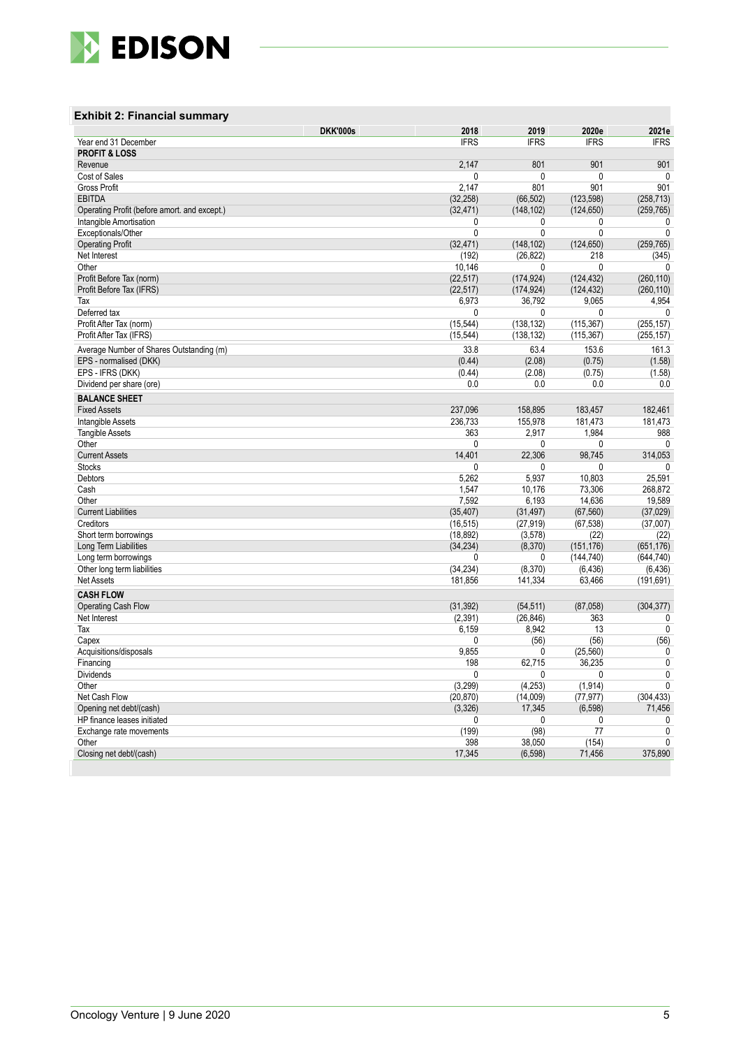

## **Exhibit 2: Financial summary**

|                                              | <b>DKK'000s</b> | 2018         | 2019         | 2020e        | 2021e        |
|----------------------------------------------|-----------------|--------------|--------------|--------------|--------------|
| Year end 31 December                         |                 | <b>IFRS</b>  | <b>IFRS</b>  | <b>IFRS</b>  | <b>IFRS</b>  |
| <b>PROFIT &amp; LOSS</b>                     |                 |              |              |              |              |
| Revenue                                      |                 | 2.147        | 801          | 901          | 901          |
| Cost of Sales                                |                 | $\mathbf{0}$ | 0            | 0            | 0            |
| <b>Gross Profit</b>                          |                 | 2,147        | 801          | 901          | 901          |
| <b>EBITDA</b>                                |                 | (32, 258)    | (66, 502)    | (123, 598)   | (258, 713)   |
| Operating Profit (before amort. and except.) |                 | (32, 471)    | (148, 102)   | (124, 650)   | (259, 765)   |
| Intangible Amortisation                      |                 | 0            | 0            | 0            | 0            |
| Exceptionals/Other                           |                 | 0            | 0            | $\mathbf{0}$ | $\mathbf{0}$ |
| <b>Operating Profit</b>                      |                 | (32, 471)    | (148, 102)   | (124, 650)   | (259, 765)   |
| Net Interest                                 |                 | (192)        | (26, 822)    | 218          | (345)        |
| Other                                        |                 | 10,146       | 0            | $\mathbf{0}$ | 0            |
| Profit Before Tax (norm)                     |                 | (22, 517)    | (174, 924)   | (124, 432)   | (260, 110)   |
| Profit Before Tax (IFRS)                     |                 | (22, 517)    | (174, 924)   | (124, 432)   | (260, 110)   |
| Tax                                          |                 | 6,973        | 36,792       | 9,065        | 4,954        |
| Deferred tax                                 |                 | 0            | 0            | 0            | 0            |
| Profit After Tax (norm)                      |                 | (15, 544)    | (138, 132)   | (115, 367)   | (255, 157)   |
| Profit After Tax (IFRS)                      |                 | (15, 544)    | (138, 132)   | (115, 367)   | (255, 157)   |
| Average Number of Shares Outstanding (m)     |                 | 33.8         | 63.4         | 153.6        | 161.3        |
| EPS - normalised (DKK)                       |                 | (0.44)       | (2.08)       | (0.75)       | (1.58)       |
| EPS - IFRS (DKK)                             |                 | (0.44)       | (2.08)       | (0.75)       | (1.58)       |
| Dividend per share (ore)                     |                 | 0.0          | 0.0          | 0.0          | 0.0          |
| <b>BALANCE SHEET</b>                         |                 |              |              |              |              |
| <b>Fixed Assets</b>                          |                 | 237,096      | 158,895      | 183,457      | 182,461      |
| Intangible Assets                            |                 | 236,733      | 155,978      | 181,473      | 181,473      |
| <b>Tangible Assets</b>                       |                 | 363          | 2.917        | 1,984        | 988          |
| Other                                        |                 | 0            | 0            | 0            | 0            |
| <b>Current Assets</b>                        |                 | 14,401       | 22,306       | 98,745       | 314,053      |
| <b>Stocks</b>                                |                 | $\mathbf{0}$ | 0            | $\Omega$     | 0            |
| Debtors                                      |                 | 5,262        | 5,937        | 10,803       | 25,591       |
| Cash                                         |                 | 1,547        | 10,176       | 73,306       | 268,872      |
| Other                                        |                 | 7,592        | 6,193        | 14,636       | 19,589       |
| <b>Current Liabilities</b>                   |                 | (35, 407)    | (31, 497)    | (67, 560)    | (37, 029)    |
| Creditors                                    |                 | (16, 515)    | (27, 919)    | (67, 538)    | (37,007)     |
| Short term borrowings                        |                 | (18, 892)    | (3,578)      | (22)         | (22)         |
| Long Term Liabilities                        |                 | (34, 234)    | (8,370)      | (151, 176)   | (651, 176)   |
| Long term borrowings                         |                 | 0            | 0            | (144, 740)   | (644, 740)   |
| Other long term liabilities                  |                 | (34, 234)    | (8,370)      | (6, 436)     | (6, 436)     |
| Net Assets                                   |                 | 181,856      | 141,334      | 63,466       | (191, 691)   |
| <b>CASH FLOW</b>                             |                 |              |              |              |              |
| Operating Cash Flow                          |                 | (31, 392)    | (54, 511)    | (87,058)     | (304, 377)   |
| Net Interest                                 |                 | (2, 391)     | (26, 846)    | 363          | 0            |
| Tax                                          |                 | 6,159        | 8,942        | 13           | $\mathbf 0$  |
| Capex                                        |                 | 0            | (56)         | (56)         | (56)         |
| Acquisitions/disposals                       |                 | 9,855        | 0            | (25, 560)    | 0            |
| Financing                                    |                 | 198          | 62,715       | 36,235       | 0            |
| Dividends                                    |                 | $\mathbf{0}$ | 0            | 0            | 0            |
| Other                                        |                 | (3,299)      | (4,253)      | (1, 914)     | 0            |
| Net Cash Flow                                |                 | (20, 870)    | (14,009)     | (77, 977)    | (304, 433)   |
| Opening net debt/(cash)                      |                 | (3,326)      | 17,345       | (6,598)      | 71,456       |
| HP finance leases initiated                  |                 | 0            | $\mathbf{0}$ | 0            | 0            |
| Exchange rate movements                      |                 | (199)        | (98)         | 77           | 0            |
| Other                                        |                 | 398          | 38,050       | (154)        | 0            |
| Closing net debt/(cash)                      |                 | 17,345       | (6, 598)     | 71,456       | 375,890      |
|                                              |                 |              |              |              |              |